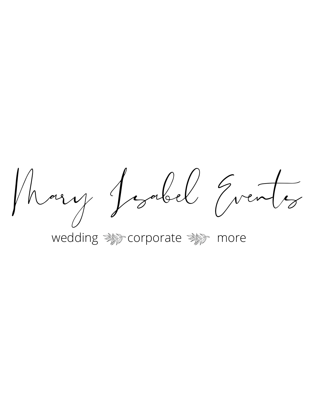Mary Josel Grents

wedding **Manual Comporate** Manual more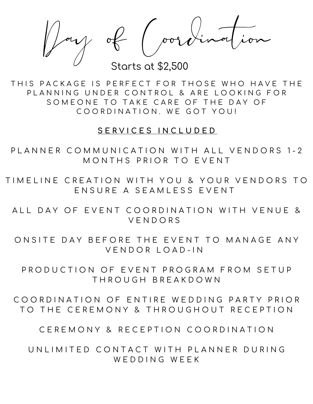$y \notin (\text{pord})$ 

Starts at \$2,500

THIS PACKAGE IS PERFECT FOR THOSE WHO HAVE THE PLANNING UNDER CONTROL & ARE LOOKING FOR SOMEONE TO TAKE CARE OF THE DAY OF COORDINATION. WE GOT YOU!

#### **S E R V I C E S I N C L U D E D**

PLANNER COMMUNICATION WITH ALL VENDORS 1-2 MONTHS PRIOR TO EVENT

TIM ELINE CREATION WITH YOU & YOUR VENDORS TO ENSURE A SEAMLESS EVENT

ALL DAY OF EVENT COORDINATION WITH VENUE & V E N D O R S

ONSITE DAY BEFORE THE EVENT TO MANAGE ANY V E N D O R L O A D - I N

PRODUCTION OF EVENT PROGRAM FROM SETUP T H R O U G H B R E A K D O W N

COORDINATION OF ENTIRE WEDDING PARTY PRIOR TO THE CEREMONY & THROUGHOUT RECEPTION

CEREMONY & RECEPTION COORDINATION

UN LIMITED CONTACT WITH PLANNER DURING W F D D I N G W F F K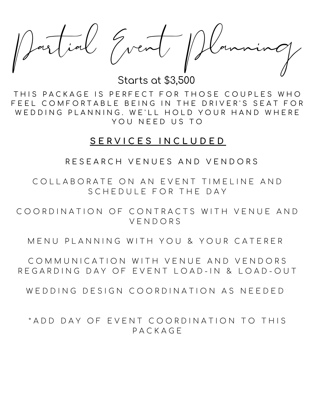$ell$  Gvent

Starts at \$3,500

THIS PACKAGE IS PERFECT FOR THOSE COUPLES WHO FEEL COMFORTABLE BEING IN THE DRIVER'S SEAT FOR WEDDING PLANNING. WE'LL HOLD YOUR HAND WHERE YOU NEED US TO

## **S E R V I C E S I N C L U D E D**

R E S E A R C H V E N U E S A N D V E N D O R S

COLLABORATE ON AN EVENT TIMELINE AND S C H F D U L F F O R T H F D A Y

COORDINATION OF CONTRACTS WITH VENUE AND V E N D O R S

MENU PLANNING WITH YOU & YOUR CATERER

COMMUNICATION WITH VENUE AND VENDORS REGARDING DAY OF EVENT LOAD-IN & LOAD-OUT

WED DING DESIGN COORDINATION AS NEEDED

\* A D D D A Y O F E V E N T C O O R D I N A T I ON T O T H I S P A C K A G E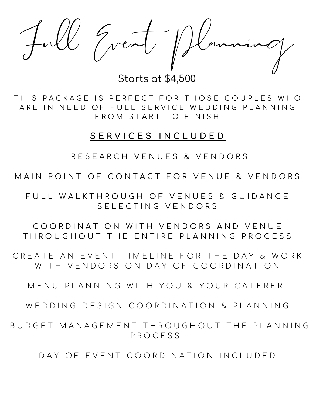

Starts at \$4,500

THIS PACKAGE IS PERFECT FOR THOSE COUPLES WHO ARE IN NEED OF FULL SERVICE WEDDING PLANNING FROM START TO FINISH

# **S E R V I C E S I N C L U D E D**

RESEARCH VENUES & VENDORS

MAIN POINT OF CONTACT FOR VENUE & VENDORS

FULL WALKTHROUGH OF VENUES & GUIDANCE S F L E C T I N G V E N D O R S

COORDINATION WITH VENDORS AND VENUE THROUGHOUT THE ENTIRE PLANNING PROCESS

CREATE AN EVENT TIMELINE FOR THE DAY & WORK WITH VENDORS ON DAY OF COORDINATION

M E N U P LA N N I N G W I T H Y O U & Y O U R CA T E R E R

W F D D I N G D F S I G N C O O R D I N A T I O N & P I A N N I N G

BUDGET MANAGEMENT THROUGHOUT THE PLANNING P R O C E S S

DAY OF EVENT COORDINATION INCLUDED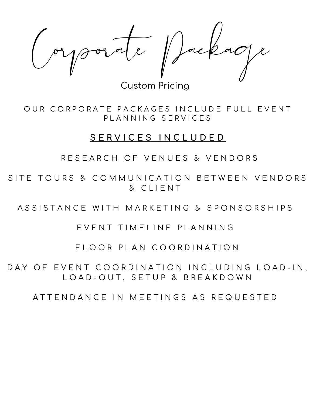Corporate Package

Custom Pricing

OUR CORPORATE PACKAGES INCLUDE FULL EVENT PLANNING SERVICES

## **S E R V I C E S I N C L U D E D**

RESEARCH OF VENUES & VENDORS

SITE TOURS & COMMUNICATION BETWEEN VENDORS & C L I E N T

ASSISTANCE WITH MARKETING & SPONSORSHIPS

EVENT TIMELINE PLANNING

FLOOR PLAN COORDINATION

DAY OF EVENT COORDINATION INCLUDING LOAD-IN, LOAD-OUT, SETUP & BREAKDOWN

A T T E N D A N C E I N M E E T I N G S A S R E Q U E S T E D